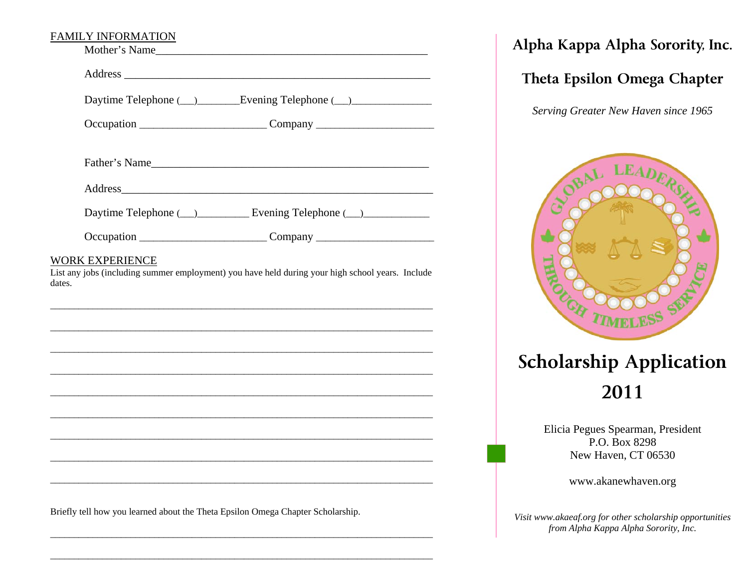#### FAMILY INFORMATION

|                           | Daytime Telephone (__)_________Evening Telephone (__)___________________________                                                                                                     |
|---------------------------|--------------------------------------------------------------------------------------------------------------------------------------------------------------------------------------|
|                           | Occupation ________________________________Company _____________________________                                                                                                     |
|                           | Father's Name                                                                                                                                                                        |
|                           |                                                                                                                                                                                      |
|                           |                                                                                                                                                                                      |
|                           |                                                                                                                                                                                      |
|                           | Occupation ________________________________Company _____________________________<br>List any jobs (including summer employment) you have held during your high school years. Include |
|                           |                                                                                                                                                                                      |
|                           |                                                                                                                                                                                      |
|                           |                                                                                                                                                                                      |
|                           |                                                                                                                                                                                      |
| WORK EXPERIENCE<br>dates. |                                                                                                                                                                                      |
|                           |                                                                                                                                                                                      |
|                           |                                                                                                                                                                                      |

\_\_\_\_\_\_\_\_\_\_\_\_\_\_\_\_\_\_\_\_\_\_\_\_\_\_\_\_\_\_\_\_\_\_\_\_\_\_\_\_\_\_\_\_\_\_\_\_\_\_\_\_\_\_\_\_\_\_\_\_\_\_\_\_\_\_\_\_\_\_\_\_\_\_\_\_\_\_\_\_\_

**Alpha Kappa Alpha Sorority, Inc.** 

# **Theta Epsilon Omega Chapter**

*Serving Greater New Haven since 1965* 



# **Scholarship Application 2011**

Elicia Pegues Spearman, President P.O. Box 8298 New Haven, CT 06530

www.akanewhaven.org

*Visit www.akaeaf.org for other scholarship opportunities from Alpha Kappa Alpha Sorority, Inc.*